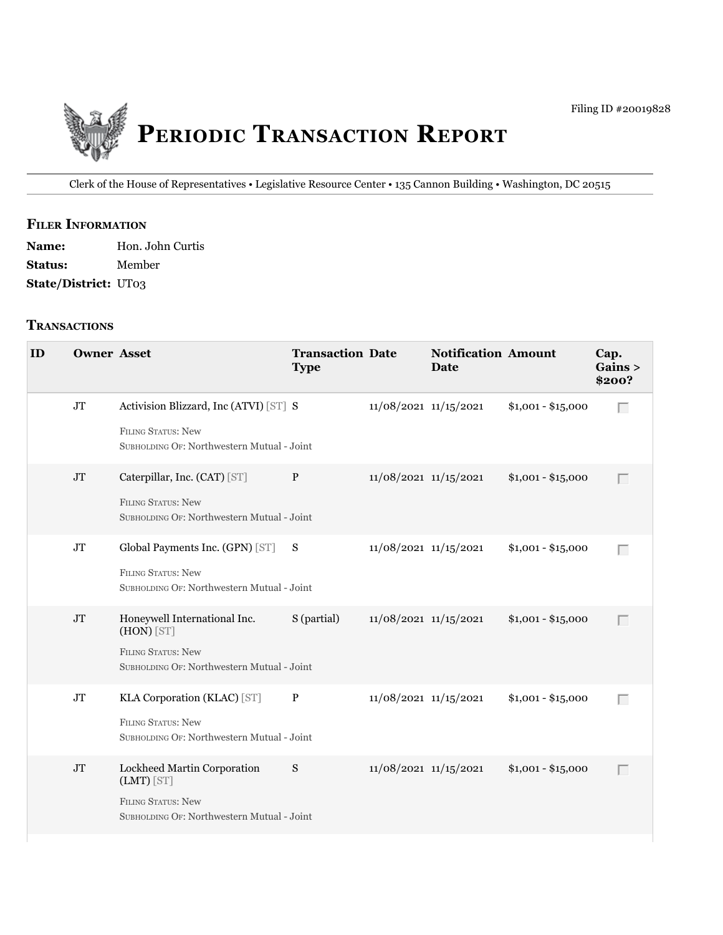

Clerk of the House of Representatives • Legislative Resource Center • 135 Cannon Building • Washington, DC 20515

# **fIler INfOrmATION**

Name: Hon. John Curtis **Status:** Member **State/District:** UT03

#### **TrANSACTIONS**

| ID | <b>Owner Asset</b> |                                                                                                                         | <b>Transaction Date</b><br><b>Type</b> |                           | <b>Notification Amount</b><br><b>Date</b> |                    | Cap.<br>Gains ><br>\$200? |
|----|--------------------|-------------------------------------------------------------------------------------------------------------------------|----------------------------------------|---------------------------|-------------------------------------------|--------------------|---------------------------|
|    | JT                 | Activision Blizzard, Inc (ATVI) [ST] S<br><b>FILING STATUS: New</b><br>SUBHOLDING OF: Northwestern Mutual - Joint       |                                        | $11/08/2021$ $11/15/2021$ |                                           | $$1,001 - $15,000$ | Г                         |
|    | JT                 | Caterpillar, Inc. (CAT) [ST]<br><b>FILING STATUS: New</b><br>SUBHOLDING OF: Northwestern Mutual - Joint                 | P                                      | 11/08/2021 11/15/2021     |                                           | $$1,001 - $15,000$ | $\Box$                    |
|    | JT                 | Global Payments Inc. (GPN) [ST] S<br><b>FILING STATUS: New</b><br>SUBHOLDING OF: Northwestern Mutual - Joint            |                                        | $11/08/2021$ $11/15/2021$ |                                           | $$1,001 - $15,000$ | $\Box$                    |
|    | $\rm JT$           | Honeywell International Inc.<br>$(HON)$ [ST]<br><b>FILING STATUS: New</b><br>SUBHOLDING OF: Northwestern Mutual - Joint | S (partial)                            | $11/08/2021$ $11/15/2021$ |                                           | $$1,001 - $15,000$ | $\Box$                    |
|    | JT                 | KLA Corporation (KLAC) [ST]<br><b>FILING STATUS: New</b><br>SUBHOLDING OF: Northwestern Mutual - Joint                  | $\mathbf{P}$                           | 11/08/2021 11/15/2021     |                                           | $$1,001 - $15,000$ | Г                         |
|    | <b>JT</b>          | Lockheed Martin Corporation<br>(LMT) [ST]<br><b>FILING STATUS: New</b><br>SUBHOLDING OF: Northwestern Mutual - Joint    | S                                      | $11/08/2021$ $11/15/2021$ |                                           | $$1,001 - $15,000$ | $\Box$                    |